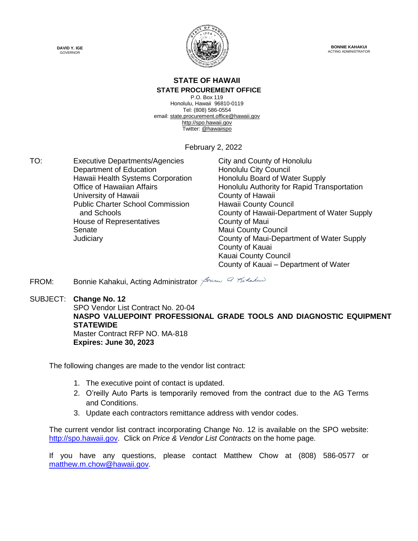



**BONNIE KAHAKUI** ACTING ADMINISTRATOR

#### **STATE OF HAWAII STATE PROCUREMENT OFFICE**

P.O. Box 119 Honolulu, Hawaii 96810-0119 Tel: (808) 586-0554 email[: state.procurement.office@hawaii.gov](mailto:state.procurement.office@hawaii.gov) [http://spo.hawaii.gov](http://spo.hawaii.gov/) Twitter[: @hawaiispo](https://twitter.com/hawaiispo)

February 2, 2022

TO: Executive Departments/Agencies City and County of Honolulu Department of Education **Honolulu City Council** Hawaii Health Systems Corporation Honolulu Board of Water Supply University of Hawaii **County of Hawaii** County of Hawaii Public Charter School Commission and Schools House of Representatives **County of Maui** Senate Maui County Council

Office of Hawaiian Affairs **Honolulu Authority for Rapid Transportation** Hawaii County Council County of Hawaii-Department of Water Supply Judiciary County of Maui-Department of Water Supply County of Kauai Kauai County Council County of Kauai – Department of Water

- FROM: Bonnie Kahakui, Acting Administrator Annu 9 Tarakus
- SUBJECT: **Change No. 12** SPO Vendor List Contract No. 20-04 **NASPO VALUEPOINT PROFESSIONAL GRADE TOOLS AND DIAGNOSTIC EQUIPMENT - STATEWIDE** Master Contract RFP NO. MA-818 **Expires: June 30, 2023**

The following changes are made to the vendor list contract:

- 1. The executive point of contact is updated.
- 2. O'reilly Auto Parts is temporarily removed from the contract due to the AG Terms and Conditions.
- 3. Update each contractors remittance address with vendor codes.

The current vendor list contract incorporating Change No. 12 is available on the SPO website: [http://spo.hawaii.gov.](http://spo.hawaii.gov/) Click on *Price & Vendor List Contracts* on the home page.

If you have any questions, please contact Matthew Chow at (808) 586-0577 or [matthew.m.chow@hawaii.gov.](mailto:matthew.m.chow@hawaii.gov)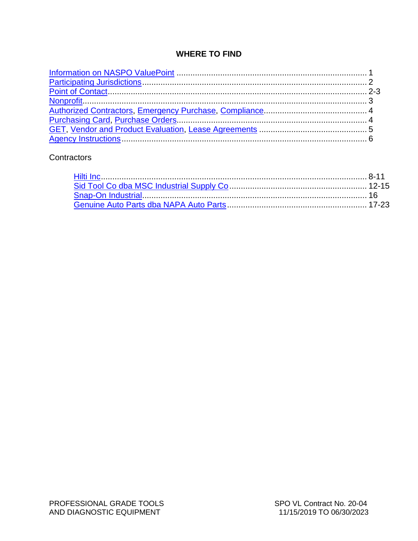#### **WHERE TO FIND**

#### Contractors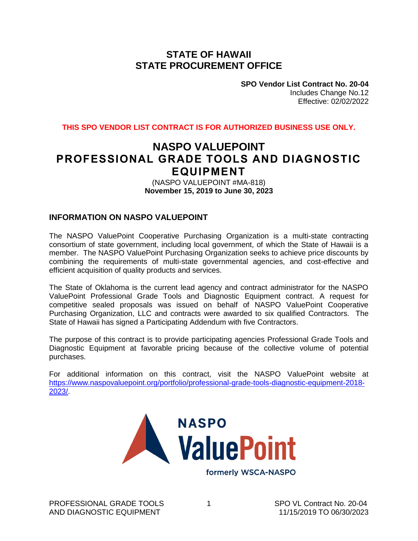#### **STATE OF HAWAII STATE PROCUREMENT OFFICE**

**SPO Vendor List Contract No. 20-04** Includes Change No.12 Effective: 02/02/2022

<span id="page-2-0"></span>**THIS SPO VENDOR LIST CONTRACT IS FOR AUTHORIZED BUSINESS USE ONLY.**

### **NASPO VALUEPOINT PROFESSIONAL GRADE TOOLS AND DIAGNOSTIC EQUIPMENT**

#### (NASPO VALUEPOINT #MA-818) **November 15, 2019 to June 30, 2023**

#### **INFORMATION ON NASPO VALUEPOINT**

The NASPO ValuePoint Cooperative Purchasing Organization is a multi-state contracting consortium of state government, including local government, of which the State of Hawaii is a member. The NASPO ValuePoint Purchasing Organization seeks to achieve price discounts by combining the requirements of multi-state governmental agencies, and cost-effective and efficient acquisition of quality products and services.

The State of Oklahoma is the current lead agency and contract administrator for the NASPO ValuePoint Professional Grade Tools and Diagnostic Equipment contract. A request for competitive sealed proposals was issued on behalf of NASPO ValuePoint Cooperative Purchasing Organization, LLC and contracts were awarded to six qualified Contractors. The State of Hawaii has signed a Participating Addendum with five Contractors.

The purpose of this contract is to provide participating agencies Professional Grade Tools and Diagnostic Equipment at favorable pricing because of the collective volume of potential purchases.

For additional information on this contract, visit the NASPO ValuePoint website at [https://www.naspovaluepoint.org/portfolio/professional-grade-tools-diagnostic-equipment-2018-](https://www.naspovaluepoint.org/portfolio/professional-grade-tools-diagnostic-equipment-2018-2023/) [2023/.](https://www.naspovaluepoint.org/portfolio/professional-grade-tools-diagnostic-equipment-2018-2023/)

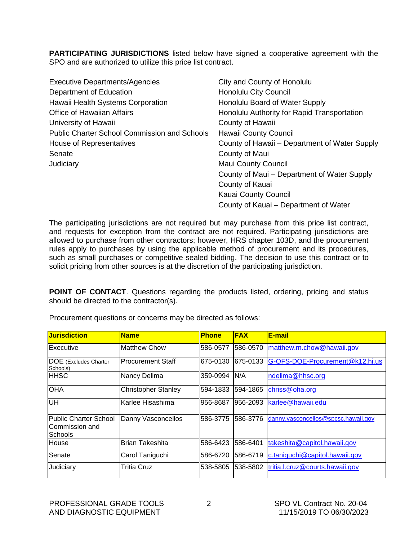<span id="page-3-0"></span>**PARTICIPATING JURISDICTIONS** listed below have signed a cooperative agreement with the SPO and are authorized to utilize this price list contract.

| <b>Executive Departments/Agencies</b>               | City and County of Honolulu                   |
|-----------------------------------------------------|-----------------------------------------------|
| Department of Education                             | <b>Honolulu City Council</b>                  |
| Hawaii Health Systems Corporation                   | Honolulu Board of Water Supply                |
| <b>Office of Hawaiian Affairs</b>                   | Honolulu Authority for Rapid Transportation   |
| University of Hawaii                                | County of Hawaii                              |
| <b>Public Charter School Commission and Schools</b> | <b>Hawaii County Council</b>                  |
| House of Representatives                            | County of Hawaii – Department of Water Supply |
| Senate                                              | County of Maui                                |
| Judiciary                                           | <b>Maui County Council</b>                    |
|                                                     | County of Maui - Department of Water Supply   |
|                                                     | County of Kauai                               |
|                                                     | Kauai County Council                          |
|                                                     | County of Kauai – Department of Water         |

The participating jurisdictions are not required but may purchase from this price list contract, and requests for exception from the contract are not required. Participating jurisdictions are allowed to purchase from other contractors; however, HRS chapter 103D, and the procurement rules apply to purchases by using the applicable method of procurement and its procedures, such as small purchases or competitive sealed bidding. The decision to use this contract or to solicit pricing from other sources is at the discretion of the participating jurisdiction.

**POINT OF CONTACT**. Questions regarding the products listed, ordering, pricing and status should be directed to the contractor(s).

| <b>Jurisdiction</b>                                | <b>Name</b>                | <b>Phone</b> | <b>FAX</b> | E-mail                              |
|----------------------------------------------------|----------------------------|--------------|------------|-------------------------------------|
| Executive                                          | <b>Matthew Chow</b>        | 586-0577     | 586-0570   | matthew.m.chow@hawaii.gov           |
| <b>DOE</b> (Excludes Charter<br>Schools)           | <b>Procurement Staff</b>   | 675-0130     | 675-0133   | G-OFS-DOE-Procurement@k12.hi.us     |
| <b>HHSC</b>                                        | Nancy Delima               | 359-0994     | N/A        | ndelima@hhsc.org                    |
| <b>OHA</b>                                         | <b>Christopher Stanley</b> | 594-1833     | 594-1865   | chriss@oha.org                      |
| UH                                                 | Karlee Hisashima           | 956-8687     | 956-2093   | karlee@hawaii.edu                   |
| Public Charter School<br>Commission and<br>Schools | Danny Vasconcellos         | 586-3775     | 586-3776   | danny.vasconcellos@spcsc.hawaii.gov |
| House                                              | Brian Takeshita            | 586-6423     | 586-6401   | takeshita@capitol.hawaii.gov        |
| Senate                                             | Carol Taniguchi            | 586-6720     | 586-6719   | c.taniguchi@capitol.hawaii.gov      |
| Judiciary                                          | Tritia Cruz                | 538-5805     | 538-5802   | tritia.l.cruz@courts.hawaii.gov     |

Procurement questions or concerns may be directed as follows: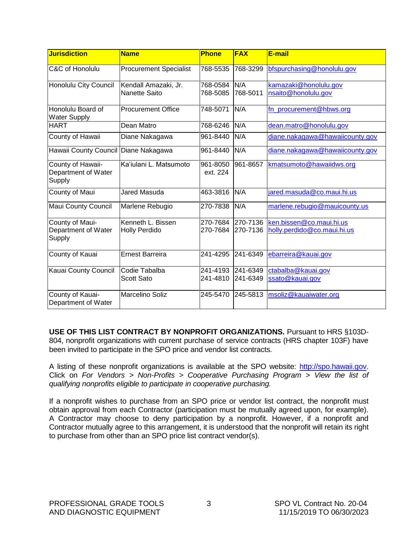<span id="page-4-0"></span>

| <b>Jurisdiction</b>                                | <b>Name</b>                               | <b>Phone</b>             | <b>FAX</b>                    | E-mail                                                  |
|----------------------------------------------------|-------------------------------------------|--------------------------|-------------------------------|---------------------------------------------------------|
| C&C of Honolulu                                    | <b>Procurement Specialist</b>             | 768-5535                 | 768-3299                      | bfspurchasing@honolulu.gov                              |
| Honolulu City Council                              | Kendall Amazaki, Jr.<br>Nanette Saito     | 768-0584 N/A<br>768-5085 | 768-5011                      | kamazaki@honolulu.gov<br>nsaito@honolulu.gov            |
| Honolulu Board of<br><b>Water Supply</b>           | <b>Procurement Office</b>                 | 748-5071                 | N/A                           | fn_procurement@hbws.org                                 |
| <b>HART</b>                                        | Dean Matro                                | 768-6246                 | N/A                           | dean.matro@honolulu.gov                                 |
| County of Hawaii                                   | Diane Nakagawa                            | 961-8440                 | N/A                           | diane.nakagawa@hawaiicounty.gov                         |
| Hawaii County Council Diane Nakagawa               |                                           | 961-8440                 | N/A                           | diane.nakagawa@hawaiicounty.gov                         |
| County of Hawaii-<br>Department of Water<br>Supply | Ka'iulani L. Matsumoto                    | 961-8050<br>ext. 224     | 961-8657                      | kmatsumoto@hawaiidws.org                                |
| County of Maui                                     | <b>Jared Masuda</b>                       | 463-3816                 | N/A                           | jared.masuda@co.maui.hi.us                              |
| <b>Maui County Council</b>                         | Marlene Rebugio                           | 270-7838                 | N/A                           | marlene.rebugio@mauicounty.us                           |
| County of Maui-<br>Department of Water<br>Supply   | Kenneth L. Bissen<br><b>Holly Perdido</b> | 270-7684<br>270-7684     | 270-7136<br>270-7136          | ken.bissen@co.maui.hi.us<br>holly.perdido@co.maui.hi.us |
| County of Kauai                                    | <b>Ernest Barreira</b>                    | 241-4295                 | 241-6349                      | ebarreira@kauai.gov                                     |
| Kauai County Council                               | Codie Tabalba<br><b>Scott Sato</b>        | 241-4810                 | 241-4193 241-6349<br>241-6349 | ctabalba@kauai.gov<br>ssato@kauai.gov                   |
| County of Kauai-<br>Department of Water            | Marcelino Soliz                           | 245-5470                 | 245-5813                      | msoliz@kauaiwater.org                                   |

**USE OF THIS LIST CONTRACT BY NONPROFIT ORGANIZATIONS.** Pursuant to HRS §103D-804, nonprofit organizations with current purchase of service contracts (HRS chapter 103F) have been invited to participate in the SPO price and vendor list contracts.

A listing of these nonprofit organizations is available at the SPO website: [http://spo.hawaii.gov.](http://spo.hawaii.gov/) Click on *For Vendors > Non-Profits > Cooperative Purchasing Program > View the list of qualifying nonprofits eligible to participate in cooperative purchasing.*

If a nonprofit wishes to purchase from an SPO price or vendor list contract, the nonprofit must obtain approval from each Contractor (participation must be mutually agreed upon, for example). A Contractor may choose to deny participation by a nonprofit. However, if a nonprofit and Contractor mutually agree to this arrangement, it is understood that the nonprofit will retain its right to purchase from other than an SPO price list contract vendor(s).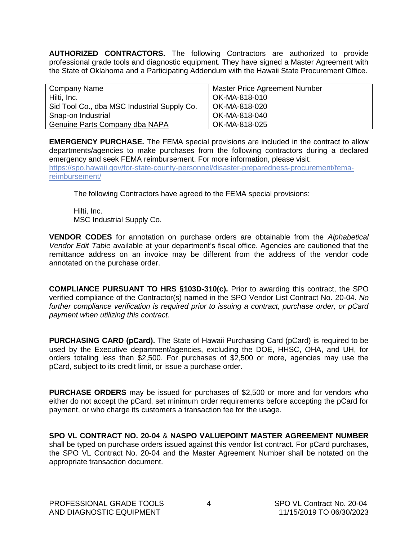<span id="page-5-0"></span>**AUTHORIZED CONTRACTORS.** The following Contractors are authorized to provide professional grade tools and diagnostic equipment. They have signed a Master Agreement with the State of Oklahoma and a Participating Addendum with the Hawaii State Procurement Office.

| <b>Company Name</b>                         | Master Price Agreement Number |
|---------------------------------------------|-------------------------------|
| Hilti, Inc.                                 | OK-MA-818-010                 |
| Sid Tool Co., dba MSC Industrial Supply Co. | OK-MA-818-020                 |
| Snap-on Industrial                          | OK-MA-818-040                 |
| Genuine Parts Company dba NAPA              | OK-MA-818-025                 |

**EMERGENCY PURCHASE.** The FEMA special provisions are included in the contract to allow departments/agencies to make purchases from the following contractors during a declared emergency and seek FEMA reimbursement. For more information, please visit:

[https://spo.hawaii.gov/for-state-county-personnel/disaster-preparedness-procurement/fema](https://spo.hawaii.gov/for-state-county-personnel/disaster-preparedness-procurement/fema-reimbursement/)[reimbursement/](https://spo.hawaii.gov/for-state-county-personnel/disaster-preparedness-procurement/fema-reimbursement/)

The following Contractors have agreed to the FEMA special provisions:

Hilti, Inc. MSC Industrial Supply Co.

**VENDOR CODES** for annotation on purchase orders are obtainable from the *Alphabetical Vendor Edit Table* available at your department's fiscal office. Agencies are cautioned that the remittance address on an invoice may be different from the address of the vendor code annotated on the purchase order.

**COMPLIANCE PURSUANT TO HRS §103D-310(c).** Prior to awarding this contract, the SPO verified compliance of the Contractor(s) named in the SPO Vendor List Contract No. 20-04. *No further compliance verification is required prior to issuing a contract, purchase order, or pCard payment when utilizing this contract.*

**PURCHASING CARD (pCard).** The State of Hawaii Purchasing Card (pCard) is required to be used by the Executive department/agencies, excluding the DOE, HHSC, OHA, and UH, for orders totaling less than \$2,500. For purchases of \$2,500 or more, agencies may use the pCard, subject to its credit limit, or issue a purchase order.

**PURCHASE ORDERS** may be issued for purchases of \$2,500 or more and for vendors who either do not accept the pCard, set minimum order requirements before accepting the pCard for payment, or who charge its customers a transaction fee for the usage.

**SPO VL CONTRACT NO. 20-04** & **NASPO VALUEPOINT MASTER AGREEMENT NUMBER**  shall be typed on purchase orders issued against this vendor list contract**.** For pCard purchases, the SPO VL Contract No. 20-04 and the Master Agreement Number shall be notated on the appropriate transaction document.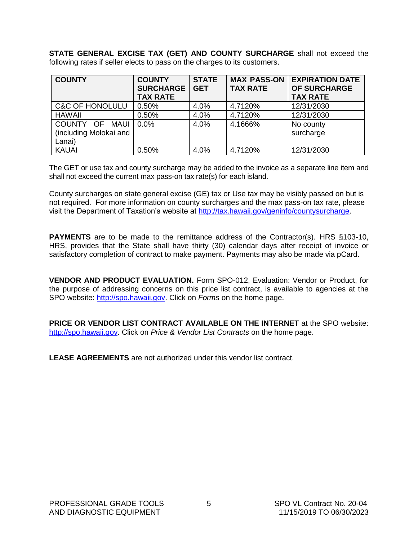<span id="page-6-0"></span>**STATE GENERAL EXCISE TAX (GET) AND COUNTY SURCHARGE** shall not exceed the following rates if seller elects to pass on the charges to its customers.

| <b>COUNTY</b>              | <b>COUNTY</b><br><b>SURCHARGE</b><br><b>TAX RATE</b> | <b>STATE</b><br><b>GET</b> | <b>MAX PASS-ON</b><br><b>TAX RATE</b> | <b>EXPIRATION DATE</b><br>OF SURCHARGE<br><b>TAX RATE</b> |
|----------------------------|------------------------------------------------------|----------------------------|---------------------------------------|-----------------------------------------------------------|
| <b>C&amp;C OF HONOLULU</b> | 0.50%                                                | 4.0%                       | 4.7120%                               | 12/31/2030                                                |
| <b>HAWAII</b>              | 0.50%                                                | 4.0%                       | 4.7120%                               | 12/31/2030                                                |
| COUNTY OF MAUI             | $0.0\%$                                              | 4.0%                       | 4.1666%                               | No county                                                 |
| (including Molokai and     |                                                      |                            |                                       | surcharge                                                 |
| Lanai)                     |                                                      |                            |                                       |                                                           |
| <b>KAUAI</b>               | 0.50%                                                | 4.0%                       | 4.7120%                               | 12/31/2030                                                |

The GET or use tax and county surcharge may be added to the invoice as a separate line item and shall not exceed the current max pass-on tax rate(s) for each island.

County surcharges on state general excise (GE) tax or Use tax may be visibly passed on but is not required. For more information on county surcharges and the max pass-on tax rate, please visit the Department of Taxation's website at [http://tax.hawaii.gov/geninfo/countysurcharge.](http://tax.hawaii.gov/geninfo/countysurcharge)

**PAYMENTS** are to be made to the remittance address of the Contractor(s). HRS §103-10, HRS, provides that the State shall have thirty (30) calendar days after receipt of invoice or satisfactory completion of contract to make payment. Payments may also be made via pCard.

**VENDOR AND PRODUCT EVALUATION.** Form SPO-012, Evaluation: Vendor or Product, for the purpose of addressing concerns on this price list contract, is available to agencies at the SPO website: [http://spo.hawaii.gov.](http://spo.hawaii.gov/) Click on *Forms* on the home page.

**PRICE OR VENDOR LIST CONTRACT AVAILABLE ON THE INTERNET** at the SPO website: [http://spo.hawaii.gov.](http://spo.hawaii.gov/) Click on *Price & Vendor List Contracts* on the home page.

**LEASE AGREEMENTS** are not authorized under this vendor list contract.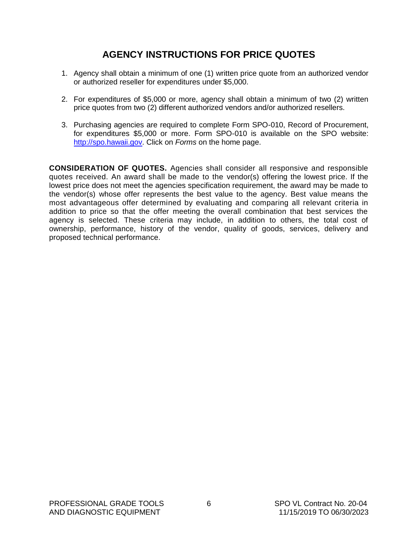#### **AGENCY INSTRUCTIONS FOR PRICE QUOTES**

- <span id="page-7-0"></span>1. Agency shall obtain a minimum of one (1) written price quote from an authorized vendor or authorized reseller for expenditures under \$5,000.
- 2. For expenditures of \$5,000 or more, agency shall obtain a minimum of two (2) written price quotes from two (2) different authorized vendors and/or authorized resellers.
- 3. Purchasing agencies are required to complete Form SPO-010, Record of Procurement, for expenditures \$5,000 or more. Form SPO-010 is available on the SPO website: [http://spo.hawaii.gov.](http://spo.hawaii.gov/) Click on *Forms* on the home page.

**CONSIDERATION OF QUOTES.** Agencies shall consider all responsive and responsible quotes received. An award shall be made to the vendor(s) offering the lowest price. If the lowest price does not meet the agencies specification requirement, the award may be made to the vendor(s) whose offer represents the best value to the agency. Best value means the most advantageous offer determined by evaluating and comparing all relevant criteria in addition to price so that the offer meeting the overall combination that best services the agency is selected. These criteria may include, in addition to others, the total cost of ownership, performance, history of the vendor, quality of goods, services, delivery and proposed technical performance.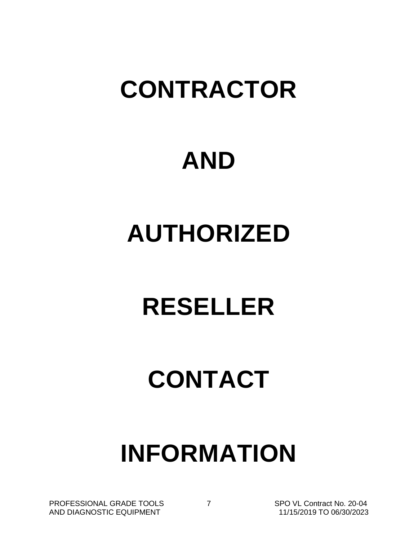## **CONTRACTOR**

## **AND**

# **AUTHORIZED**

### **RESELLER**

## **CONTACT**

# **INFORMATION**

PROFESSIONAL GRADE TOOLS 7 **324 SPO VL Contract No. 20-04** AND DIAGNOSTIC EQUIPMENT 11/15/2019 TO 06/30/2023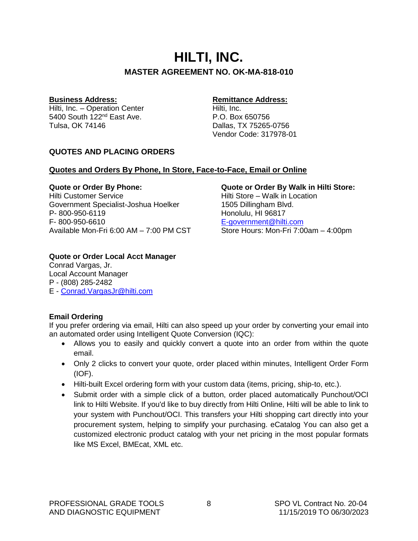### **HILTI, INC. MASTER AGREEMENT NO. OK-MA-818-010**

#### <span id="page-9-0"></span>**Business Address:**

Hilti, Inc. – Operation Center 5400 South 122<sup>nd</sup> East Ave. Tulsa, OK 74146

#### **Remittance Address:**

Hilti, Inc. P.O. Box 650756 Dallas, TX 75265-0756 Vendor Code: 317978-01

#### **QUOTES AND PLACING ORDERS**

#### **Quotes and Orders By Phone, In Store, Face-to-Face, Email or Online**

Hilti Customer Service **Hilti Store – Walk in Location** Government Specialist-Joshua Hoelker 1505 Dillingham Blvd. P- 800-950-6119 **Honolulu**, HI 96817 F- 800-950-6610<br>Available Mon-Fri 6:00 AM – 7:00 PM CST Store Hours: Mon-Fri 7:00

#### **Quote or Order Local Acct Manager**

Conrad Vargas, Jr. Local Account Manager P - (808) 285-2482 E - [Conrad.VargasJr@hilti.com](mailto:Conrad.VargasJr@hilti.com)

### **Quote or Order By Phone: Quote or Order By Walk in Hilti Store:**

Store Hours: Mon-Fri 7:00am – 4:00pm

#### **Email Ordering**

If you prefer ordering via email, Hilti can also speed up your order by converting your email into an automated order using Intelligent Quote Conversion (IQC):

- Allows you to easily and quickly convert a quote into an order from within the quote email.
- Only 2 clicks to convert your quote, order placed within minutes, Intelligent Order Form (IOF).
- Hilti-built Excel ordering form with your custom data (items, pricing, ship-to, etc.).
- Submit order with a simple click of a button, order placed automatically Punchout/OCI link to Hilti Website. If you'd like to buy directly from Hilti Online, Hilti will be able to link to your system with Punchout/OCI. This transfers your Hilti shopping cart directly into your procurement system, helping to simplify your purchasing. eCatalog You can also get a customized electronic product catalog with your net pricing in the most popular formats like MS Excel, BMEcat, XML etc.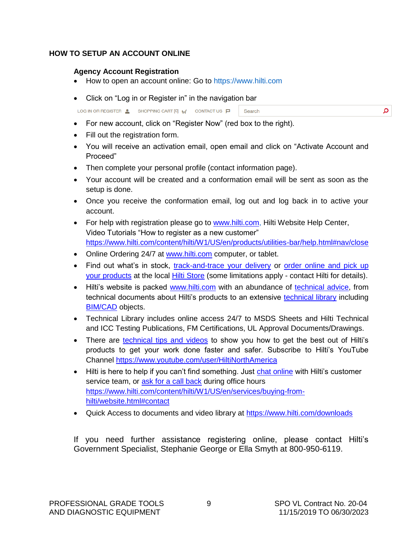#### **HOW TO SETUP AN ACCOUNT ONLINE**

#### **Agency Account Registration**

- How to open an account online: Go to https://www.hilti.com
- Click on "Log in or Register in" in the navigation bar

LOG IN OR REGISTER SHOPPING CART [0] LY CONTACT US P Search Q

- For new account, click on "Register Now" (red box to the right).
- Fill out the registration form.
- You will receive an activation email, open email and click on "Activate Account and Proceed"
- Then complete your personal profile (contact information page).
- Your account will be created and a conformation email will be sent as soon as the setup is done.
- Once you receive the conformation email, log out and log back in to active your account.
- For help with registration please go to [www.hilti.com,](http://www.hilti.com/) Hilti Website Help Center, Video Tutorials "How to register as a new customer" <https://www.hilti.com/content/hilti/W1/US/en/products/utilities-bar/help.html#nav/close>
- Online Ordering 24/7 at [www.hilti.com](http://www.hilti.com/) computer, or tablet.
- Find out what's in stock, [track-and-trace your delivery](https://www.hilti.com/myaccount-history/orders.html#account-navigation) or order online and pick up [your products](https://www.hilti.com/content/hilti/W1/US/en/services/buying-from-hilti/click-and-collect.html) at the local [Hilti Store](https://www.hilti.com/stores) (some limitations apply - contact Hilti for details).
- Hilti's website is packed [www.hilti.com](http://www.hilti.com/) with an abundance of [technical advice,](https://www.hilti.com/content/hilti/W1/US/en/engineering/training/engineering---engineering-services.html) from technical documents about Hilti's products to an extensive [technical library](https://www.hilti.com/downloads) including [BIM/CAD](https://hilti.cadclick.com/?mandant=usa&la=100) objects.
- Technical Library includes online access 24/7 to MSDS Sheets and Hilti Technical and ICC Testing Publications, FM Certifications, UL Approval Documents/Drawings.
- There are [technical tips and videos](https://www.hilti.com/content/hilti/W1/US/en/products/utilities-bar/help.html) to show you how to get the best out of Hilti's products to get your work done faster and safer. Subscribe to Hilti's YouTube Channel<https://www.youtube.com/user/HiltiNorthAmerica>
- Hilti is here to help if you can't find something. Just [chat online](https://www.hilti.com/content/hilti/W1/US/en/services/buying-from-hilti/website.html#contact) with Hilti's customer service team, or [ask for a call back](https://www.hilti.com/content/hilti/W1/US/en/services/buying-from-hilti/website.html#contact) during office hours [https://www.hilti.com/content/hilti/W1/US/en/services/buying-from](https://www.hilti.com/content/hilti/W1/US/en/services/buying-from-hilti/website.html#contact)[hilti/website.html#contact](https://www.hilti.com/content/hilti/W1/US/en/services/buying-from-hilti/website.html#contact)
- Quick Access to documents and video library at<https://www.hilti.com/downloads>

If you need further assistance registering online, please contact Hilti's Government Specialist, Stephanie George or Ella Smyth at 800-950-6119.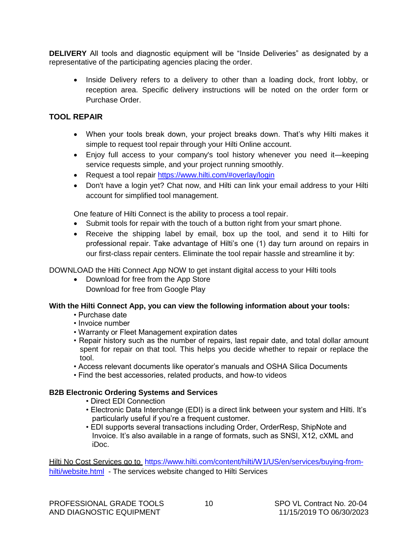**DELIVERY** All tools and diagnostic equipment will be "Inside Deliveries" as designated by a representative of the participating agencies placing the order.

• Inside Delivery refers to a delivery to other than a loading dock, front lobby, or reception area. Specific delivery instructions will be noted on the order form or Purchase Order.

#### **TOOL REPAIR**

- When your tools break down, your project breaks down. That's why Hilti makes it simple to request tool repair through your Hilti Online account.
- Enjoy full access to your company's tool history whenever you need it—keeping service requests simple, and your project running smoothly.
- Request a tool repair https://www.hilti.com/#overlay/login
- Don't have a login yet? Chat now, and Hilti can link your email address to your Hilti account for simplified tool management.

One feature of Hilti Connect is the ability to process a tool repair.

- Submit tools for repair with the touch of a button right from your smart phone.
- Receive the shipping label by email, box up the tool, and send it to Hilti for professional repair. Take advantage of Hilti's one (1) day turn around on repairs in our first-class repair centers. Eliminate the tool repair hassle and streamline it by:

DOWNLOAD the Hilti Connect App NOW to get instant digital access to your Hilti tools

- Download for free from the App Store
	- Download for free from Google Play

#### **With the Hilti Connect App, you can view the following information about your tools:**

- Purchase date
- Invoice number
- Warranty or Fleet Management expiration dates
- Repair history such as the number of repairs, last repair date, and total dollar amount spent for repair on that tool. This helps you decide whether to repair or replace the tool.
- Access relevant documents like operator's manuals and OSHA Silica Documents
- Find the best accessories, related products, and how-to videos

#### **B2B Electronic Ordering Systems and Services**

- Direct EDI Connection
- Electronic Data Interchange (EDI) is a direct link between your system and Hilti. It's particularly useful if you're a frequent customer.
- EDI supports several transactions including Order, OrderResp, ShipNote and Invoice. It's also available in a range of formats, such as SNSI, X12, cXML and iDoc.

Hilti No Cost Services go to [https://www.hilti.com/content/hilti/W1/US/en/services/buying-from](https://www.hilti.com/content/hilti/W1/US/en/services/buying-from-hilti/website.html)[hilti/website.html](https://www.hilti.com/content/hilti/W1/US/en/services/buying-from-hilti/website.html) - The services website changed to Hilti Services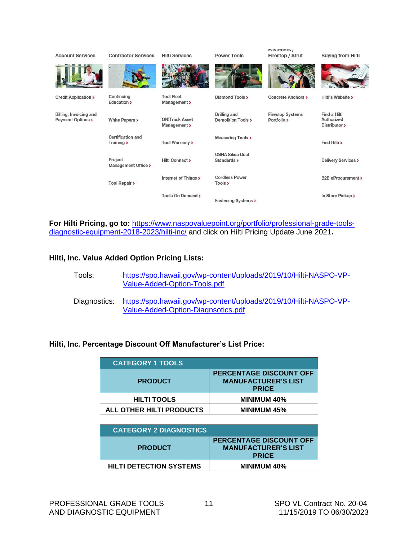

**For Hilti Pricing, go to:** [https://www.naspovaluepoint.org/portfolio/professional-grade-tools](https://www.naspovaluepoint.org/portfolio/professional-grade-tools-diagnostic-equipment-2018-2023/hilti-inc/)[diagnostic-equipment-2018-2023/hilti-inc/](https://www.naspovaluepoint.org/portfolio/professional-grade-tools-diagnostic-equipment-2018-2023/hilti-inc/) and click on Hilti Pricing Update June 2021**.**

#### **Hilti, Inc. Value Added Option Pricing Lists:**

| Tools:       | https://spo.hawaii.gov/wp-content/uploads/2019/10/Hilti-NASPO-VP-<br>Value-Added-Option-Tools.pdf       |
|--------------|---------------------------------------------------------------------------------------------------------|
| Diagnostics: | https://spo.hawaii.gov/wp-content/uploads/2019/10/Hilti-NASPO-VP-<br>Value-Added-Option-Diagnsotics.pdf |

#### **Hilti, Inc. Percentage Discount Off Manufacturer's List Price:**

| <b>CATEGORY 1 TOOLS</b>  |                                                                              |
|--------------------------|------------------------------------------------------------------------------|
| <b>PRODUCT</b>           | <b>PERCENTAGE DISCOUNT OFF</b><br><b>MANUFACTURER'S LIST</b><br><b>PRICE</b> |
| <b>HILTI TOOLS</b>       | <b>MINIMUM 40%</b>                                                           |
| ALL OTHER HILTI PRODUCTS | <b>MINIMUM 45%</b>                                                           |

| <b>CATEGORY 2 DIAGNOSTICS</b>  |                                                                              |
|--------------------------------|------------------------------------------------------------------------------|
| <b>PRODUCT</b>                 | <b>PERCENTAGE DISCOUNT OFF</b><br><b>MANUFACTURER'S LIST</b><br><b>PRICE</b> |
| <b>HILTI DETECTION SYSTEMS</b> | MINIMUM 40%                                                                  |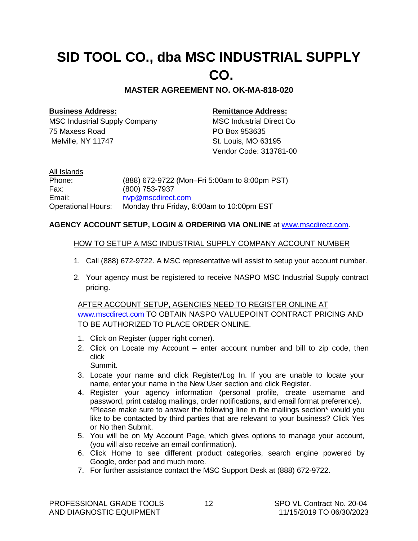### <span id="page-13-0"></span>**SID TOOL CO., dba MSC INDUSTRIAL SUPPLY CO.**

#### **MASTER AGREEMENT NO. OK-MA-818-020**

#### **Business Address:**

#### **Remittance Address:**

MSC Industrial Supply Company 75 Maxess Road Melville, NY 11747

MSC Industrial Direct Co PO Box 953635 St. Louis, MO 63195 Vendor Code: 313781-00

#### All Islands

| Phone:                    | (888) 672-9722 (Mon-Fri 5:00am to 8:00pm PST) |
|---------------------------|-----------------------------------------------|
| Fax:                      | (800) 753-7937                                |
| Email:                    | nvp@mscdirect.com                             |
| <b>Operational Hours:</b> | Monday thru Friday, 8:00am to 10:00pm EST     |

#### **AGENCY ACCOUNT SETUP, LOGIN & ORDERING VIA ONLINE** at [www.mscdirect.com.](http://www.mscdirect.com/)

#### HOW TO SETUP A MSC INDUSTRIAL SUPPLY COMPANY ACCOUNT NUMBER

- 1. Call (888) 672-9722. A MSC representative will assist to setup your account number.
- 2. Your agency must be registered to receive NASPO MSC Industrial Supply contract pricing.

AFTER ACCOUNT SETUP, AGENCIES NEED TO REGISTER ONLINE AT [www.mscdirect.com](http://www.mscdirect.com/) TO OBTAIN NASPO VALUEPOINT CONTRACT PRICING AND TO BE AUTHORIZED TO PLACE ORDER ONLINE.

- 1. Click on Register (upper right corner).
- 2. Click on Locate my Account enter account number and bill to zip code, then click

Summit.

- 3. Locate your name and click Register/Log In. If you are unable to locate your name, enter your name in the New User section and click Register.
- 4. Register your agency information (personal profile, create username and password, print catalog mailings, order notifications, and email format preference). \*Please make sure to answer the following line in the mailings section\* would you like to be contacted by third parties that are relevant to your business? Click Yes or No then Submit.
- 5. You will be on My Account Page, which gives options to manage your account, (you will also receive an email confirmation).
- 6. Click Home to see different product categories, search engine powered by Google, order pad and much more.
- 7. For further assistance contact the MSC Support Desk at (888) 672-9722.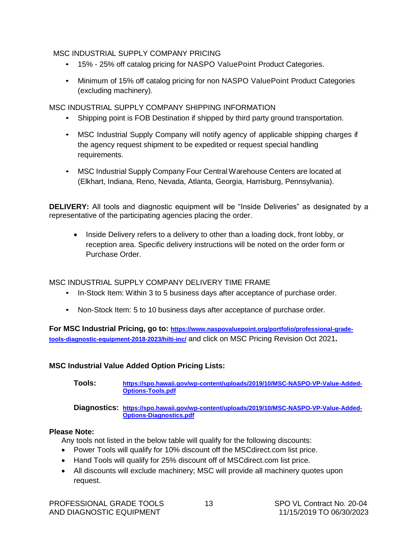MSC INDUSTRIAL SUPPLY COMPANY PRICING

- 15% 25% off catalog pricing for NASPO ValuePoint Product Categories.
- Minimum of 15% off catalog pricing for non NASPO ValuePoint Product Categories (excluding machinery).

MSC INDUSTRIAL SUPPLY COMPANY SHIPPING INFORMATION

- Shipping point is FOB Destination if shipped by third party ground transportation.
- MSC Industrial Supply Company will notify agency of applicable shipping charges if the agency request shipment to be expedited or request special handling requirements.
- MSC Industrial Supply Company Four Central Warehouse Centers are located at (Elkhart, Indiana, Reno, Nevada, Atlanta, Georgia, Harrisburg, Pennsylvania).

**DELIVERY:** All tools and diagnostic equipment will be "Inside Deliveries" as designated by a representative of the participating agencies placing the order.

• Inside Delivery refers to a delivery to other than a loading dock, front lobby, or reception area. Specific delivery instructions will be noted on the order form or Purchase Order.

MSC INDUSTRIAL SUPPLY COMPANY DELIVERY TIME FRAME

- In-Stock Item: Within 3 to 5 business days after acceptance of purchase order.
- Non-Stock Item: 5 to 10 business days after acceptance of purchase order.

**For MSC Industrial Pricing, go to: [https://www.naspovaluepoint.org/portfolio/professional-grade](https://www.naspovaluepoint.org/portfolio/professional-grade-tools-diagnostic-equipment-2018-2023/hilti-inc/)[tools-diagnostic-equipment-2018-2023/hilti-inc/](https://www.naspovaluepoint.org/portfolio/professional-grade-tools-diagnostic-equipment-2018-2023/hilti-inc/)** and click on MSC Pricing Revision Oct 2021**.**

#### **MSC Industrial Value Added Option Pricing Lists:**

**Tools: [https://spo.hawaii.gov/wp-content/uploads/2019/10/MSC-NASPO-VP-Value-Added-](https://spo.hawaii.gov/wp-content/uploads/2019/10/MSC-NASPO-VP-Value-Added-Options-Tools.pdf)[Options-Tools.pdf](https://spo.hawaii.gov/wp-content/uploads/2019/10/MSC-NASPO-VP-Value-Added-Options-Tools.pdf)**

**Diagnostics: [https://spo.hawaii.gov/wp-content/uploads/2019/10/MSC-NASPO-VP-Value-Added-](https://spo.hawaii.gov/wp-content/uploads/2019/10/MSC-NASPO-VP-Value-Added-Options-Diagnostics.pdf)[Options-Diagnostics.pdf](https://spo.hawaii.gov/wp-content/uploads/2019/10/MSC-NASPO-VP-Value-Added-Options-Diagnostics.pdf)**

#### **Please Note:**

Any tools not listed in the below table will qualify for the following discounts:

- Power Tools will qualify for 10% discount off the MSCdirect.com list price.
- Hand Tools will qualify for 25% discount off of MSCdirect.com list price.
- All discounts will exclude machinery; MSC will provide all machinery quotes upon request.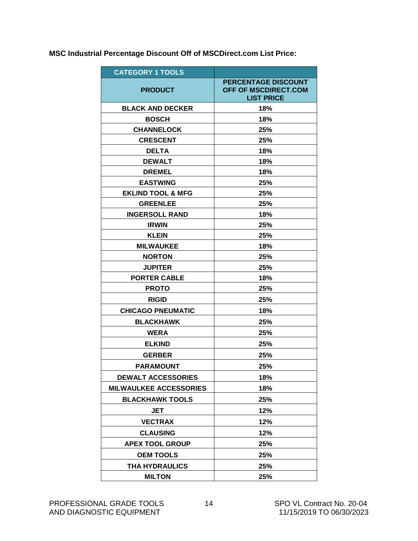**MSC Industrial Percentage Discount Off of MSCDirect.com List Price:**

| <b>CATEGORY 1 TOOLS</b>       |                                                                                |
|-------------------------------|--------------------------------------------------------------------------------|
| <b>PRODUCT</b>                | <b>PERCENTAGE DISCOUNT</b><br><b>OFF OF MSCDIRECT.COM</b><br><b>LIST PRICE</b> |
| <b>BLACK AND DECKER</b>       | 18%                                                                            |
| <b>BOSCH</b>                  | 18%                                                                            |
| <b>CHANNELOCK</b>             | 25%                                                                            |
| <b>CRESCENT</b>               | 25%                                                                            |
| <b>DELTA</b>                  | 18%                                                                            |
| <b>DEWALT</b>                 | 18%                                                                            |
| <b>DREMEL</b>                 | 18%                                                                            |
| <b>EASTWING</b>               | 25%                                                                            |
| <b>EKLIND TOOL &amp; MFG</b>  | 25%                                                                            |
| <b>GREENLEE</b>               | 25%                                                                            |
| <b>INGERSOLL RAND</b>         | 18%                                                                            |
| <b>IRWIN</b>                  | 25%                                                                            |
| <b>KLEIN</b>                  | 25%                                                                            |
| <b>MILWAUKEE</b>              | 18%                                                                            |
| <b>NORTON</b>                 | 25%                                                                            |
| <b>JUPITER</b>                | 25%                                                                            |
| <b>PORTER CABLE</b>           | 18%                                                                            |
| <b>PROTO</b>                  | 25%                                                                            |
| <b>RIGID</b>                  | 25%                                                                            |
| <b>CHICAGO PNEUMATIC</b>      | 18%                                                                            |
| <b>BLACKHAWK</b>              | 25%                                                                            |
| <b>WERA</b>                   | 25%                                                                            |
| <b>ELKIND</b>                 | 25%                                                                            |
| <b>GERBER</b>                 | 25%                                                                            |
| <b>PARAMOUNT</b>              | 25%                                                                            |
| <b>DEWALT ACCESSORIES</b>     | 18%                                                                            |
| <b>MILWAULKEE ACCESSORIES</b> | 18%                                                                            |
| <b>BLACKHAWK TOOLS</b>        | 25%                                                                            |
| JET                           | 12%                                                                            |
| <b>VECTRAX</b>                | 12%                                                                            |
| <b>CLAUSING</b>               | 12%                                                                            |
| <b>APEX TOOL GROUP</b>        | 25%                                                                            |
| <b>OEM TOOLS</b>              | 25%                                                                            |
| <b>THA HYDRAULICS</b>         | 25%                                                                            |
| <b>MILTON</b>                 | 25%                                                                            |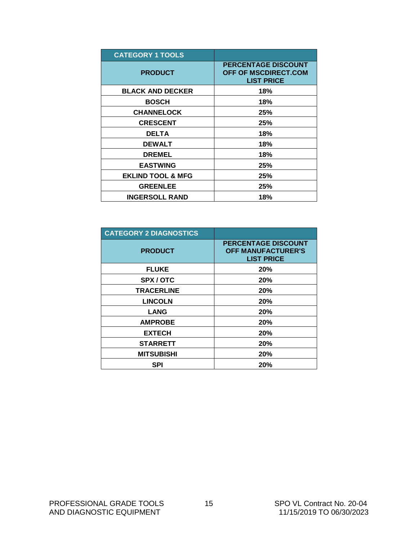| <b>CATEGORY 1 TOOLS</b>      |                                                                                |
|------------------------------|--------------------------------------------------------------------------------|
| <b>PRODUCT</b>               | <b>PERCENTAGE DISCOUNT</b><br><b>OFF OF MSCDIRECT.COM</b><br><b>LIST PRICE</b> |
| <b>BLACK AND DECKER</b>      | 18%                                                                            |
| <b>BOSCH</b>                 | 18%                                                                            |
| <b>CHANNELOCK</b>            | 25%                                                                            |
| <b>CRESCENT</b>              | 25%                                                                            |
| <b>DELTA</b>                 | 18%                                                                            |
| <b>DEWALT</b>                | 18%                                                                            |
| <b>DREMEL</b>                | 18%                                                                            |
| <b>EASTWING</b>              | 25%                                                                            |
| <b>EKLIND TOOL &amp; MFG</b> | 25%                                                                            |
| <b>GREENLEE</b>              | 25%                                                                            |
| <b>INGERSOLL RAND</b>        | 18%                                                                            |

| <b>CATEGORY 2 DIAGNOSTICS</b> |                                                                              |
|-------------------------------|------------------------------------------------------------------------------|
| <b>PRODUCT</b>                | <b>PERCENTAGE DISCOUNT</b><br><b>OFF MANUFACTURER'S</b><br><b>LIST PRICE</b> |
| <b>FLUKE</b>                  | 20%                                                                          |
| SPX/OTC                       | <b>20%</b>                                                                   |
| <b>TRACERLINE</b>             | 20%                                                                          |
| <b>LINCOLN</b>                | 20%                                                                          |
| <b>LANG</b>                   | 20%                                                                          |
| <b>AMPROBE</b>                | 20%                                                                          |
| <b>EXTECH</b>                 | 20%                                                                          |
| <b>STARRETT</b>               | 20%                                                                          |
| <b>MITSUBISHI</b>             | 20%                                                                          |
| SPI                           | 20%                                                                          |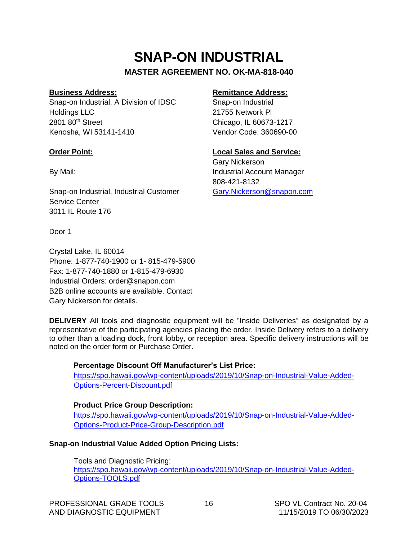### **SNAP-ON INDUSTRIAL MASTER AGREEMENT NO. OK-MA-818-040**

#### <span id="page-17-0"></span>**Business Address:**

Snap-on Industrial, A Division of IDSC Holdings LLC 2801 80<sup>th</sup> Street Kenosha, WI 53141-1410

#### **Order Point:**

#### **Remittance Address:**

Snap-on Industrial 21755 Network Pl Chicago, IL 60673-1217 Vendor Code: 360690-00

#### **Local Sales and Service:**

Gary Nickerson Industrial Account Manager 808-421-8132 [Gary.Nickerson@snapon.com](mailto:Gary.Nickerson@snapon.com)

Snap-on Industrial, Industrial Customer Service Center 3011 IL Route 176

Door 1

By Mail:

Crystal Lake, IL 60014 Phone: 1-877-740-1900 or 1- 815-479-5900 Fax: 1-877-740-1880 or 1-815-479-6930 Industrial Orders: order@snapon.com B2B online accounts are available. Contact Gary Nickerson for details.

**DELIVERY** All tools and diagnostic equipment will be "Inside Deliveries" as designated by a representative of the participating agencies placing the order. Inside Delivery refers to a delivery to other than a loading dock, front lobby, or reception area. Specific delivery instructions will be noted on the order form or Purchase Order.

#### **Percentage Discount Off Manufacturer's List Price:**

[https://spo.hawaii.gov/wp-content/uploads/2019/10/Snap-on-Industrial-Value-Added-](https://spo.hawaii.gov/wp-content/uploads/2019/10/Snap-on-Industrial-Value-Added-Options-Percent-Discount.pdf)[Options-Percent-Discount.pdf](https://spo.hawaii.gov/wp-content/uploads/2019/10/Snap-on-Industrial-Value-Added-Options-Percent-Discount.pdf)

#### **Product Price Group Description:**

[https://spo.hawaii.gov/wp-content/uploads/2019/10/Snap-on-Industrial-Value-Added-](https://spo.hawaii.gov/wp-content/uploads/2019/10/Snap-on-Industrial-Value-Added-Options-Product-Price-Group-Description.pdf)[Options-Product-Price-Group-Description.pdf](https://spo.hawaii.gov/wp-content/uploads/2019/10/Snap-on-Industrial-Value-Added-Options-Product-Price-Group-Description.pdf)

#### **Snap-on Industrial Value Added Option Pricing Lists:**

Tools and Diagnostic Pricing: [https://spo.hawaii.gov/wp-content/uploads/2019/10/Snap-on-Industrial-Value-Added-](https://spo.hawaii.gov/wp-content/uploads/2019/10/Snap-on-Industrial-Value-Added-Options-TOOLS.pdf)[Options-TOOLS.pdf](https://spo.hawaii.gov/wp-content/uploads/2019/10/Snap-on-Industrial-Value-Added-Options-TOOLS.pdf)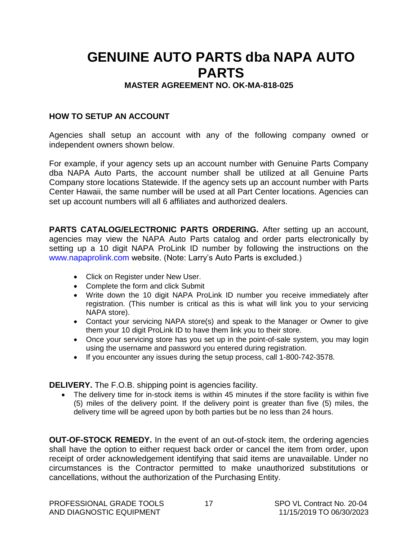### **GENUINE AUTO PARTS dba NAPA AUTO PARTS**

#### **MASTER AGREEMENT NO. OK-MA-818-025**

#### **HOW TO SETUP AN ACCOUNT**

Agencies shall setup an account with any of the following company owned or independent owners shown below.

For example, if your agency sets up an account number with Genuine Parts Company dba NAPA Auto Parts, the account number shall be utilized at all Genuine Parts Company store locations Statewide. If the agency sets up an account number with Parts Center Hawaii, the same number will be used at all Part Center locations. Agencies can set up account numbers will all 6 affiliates and authorized dealers.

**PARTS CATALOG/ELECTRONIC PARTS ORDERING.** After setting up an account, agencies may view the NAPA Auto Parts catalog and order parts electronically by setting up a 10 digit NAPA ProLink ID number by following the instructions on the www.napaprolink.com website. (Note: Larry's Auto Parts is excluded.)

- Click on Register under New User.
- Complete the form and click Submit
- Write down the 10 digit NAPA ProLink ID number you receive immediately after registration. (This number is critical as this is what will link you to your servicing NAPA store).
- Contact your servicing NAPA store(s) and speak to the Manager or Owner to give them your 10 digit ProLink ID to have them link you to their store.
- Once your servicing store has you set up in the point-of-sale system, you may login using the username and password you entered during registration.
- If you encounter any issues during the setup process, call 1-800-742-3578.

**DELIVERY.** The F.O.B. shipping point is agencies facility.

 The delivery time for in-stock items is within 45 minutes if the store facility is within five (5) miles of the delivery point. If the delivery point is greater than five (5) miles, the delivery time will be agreed upon by both parties but be no less than 24 hours.

**OUT-OF-STOCK REMEDY.** In the event of an out-of-stock item, the ordering agencies shall have the option to either request back order or cancel the item from order, upon receipt of order acknowledgement identifying that said items are unavailable. Under no circumstances is the Contractor permitted to make unauthorized substitutions or cancellations, without the authorization of the Purchasing Entity.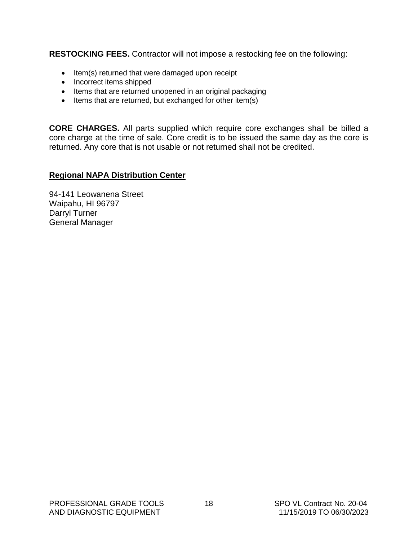**RESTOCKING FEES.** Contractor will not impose a restocking fee on the following:

- Item(s) returned that were damaged upon receipt
- $\bullet$  Incorrect items shipped
- Items that are returned unopened in an original packaging
- Items that are returned, but exchanged for other item(s)

**CORE CHARGES.** All parts supplied which require core exchanges shall be billed a core charge at the time of sale. Core credit is to be issued the same day as the core is returned. Any core that is not usable or not returned shall not be credited.

#### **Regional NAPA Distribution Center**

94-141 Leowanena Street Waipahu, HI 96797 Darryl Turner General Manager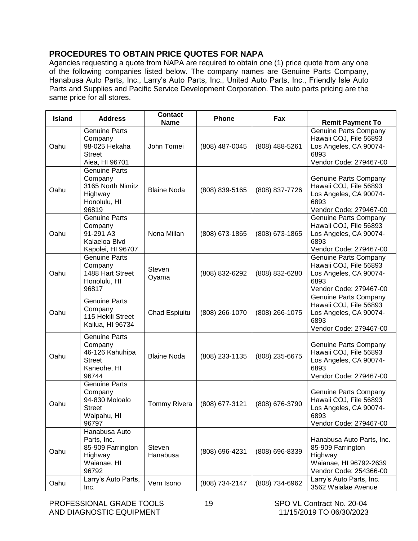#### **PROCEDURES TO OBTAIN PRICE QUOTES FOR NAPA**

Agencies requesting a quote from NAPA are required to obtain one (1) price quote from any one of the following companies listed below. The company names are Genuine Parts Company, Hanabusa Auto Parts, Inc., Larry's Auto Parts, Inc., United Auto Parts, Inc., Friendly Isle Auto Parts and Supplies and Pacific Service Development Corporation. The auto parts pricing are the same price for all stores.

| <b>Island</b> | <b>Address</b>                                                                              | <b>Contact</b><br><b>Name</b> | Phone          | Fax            | <b>Remit Payment To</b>                                                                                            |
|---------------|---------------------------------------------------------------------------------------------|-------------------------------|----------------|----------------|--------------------------------------------------------------------------------------------------------------------|
| Oahu          | <b>Genuine Parts</b><br>Company<br>98-025 Hekaha<br><b>Street</b><br>Aiea, HI 96701         | John Tomei                    | (808) 487-0045 | (808) 488-5261 | <b>Genuine Parts Company</b><br>Hawaii COJ, File 56893<br>Los Angeles, CA 90074-<br>6893<br>Vendor Code: 279467-00 |
| Oahu          | <b>Genuine Parts</b><br>Company<br>3165 North Nimitz<br>Highway<br>Honolulu, HI<br>96819    | <b>Blaine Noda</b>            | (808) 839-5165 | (808) 837-7726 | Genuine Parts Company<br>Hawaii COJ, File 56893<br>Los Angeles, CA 90074-<br>6893<br>Vendor Code: 279467-00        |
| Oahu          | <b>Genuine Parts</b><br>Company<br>91-291 A3<br>Kalaeloa Blvd<br>Kapolei, HI 96707          | Nona Millan                   | (808) 673-1865 | (808) 673-1865 | Genuine Parts Company<br>Hawaii COJ, File 56893<br>Los Angeles, CA 90074-<br>6893<br>Vendor Code: 279467-00        |
| Oahu          | <b>Genuine Parts</b><br>Company<br>1488 Hart Street<br>Honolulu, HI<br>96817                | Steven<br>Oyama               | (808) 832-6292 | (808) 832-6280 | Genuine Parts Company<br>Hawaii COJ, File 56893<br>Los Angeles, CA 90074-<br>6893<br>Vendor Code: 279467-00        |
| Oahu          | <b>Genuine Parts</b><br>Company<br>115 Hekili Street<br>Kailua, HI 96734                    | <b>Chad Espiuitu</b>          | (808) 266-1070 | (808) 266-1075 | Genuine Parts Company<br>Hawaii COJ, File 56893<br>Los Angeles, CA 90074-<br>6893<br>Vendor Code: 279467-00        |
| Oahu          | <b>Genuine Parts</b><br>Company<br>46-126 Kahuhipa<br><b>Street</b><br>Kaneohe, HI<br>96744 | <b>Blaine Noda</b>            | (808) 233-1135 | (808) 235-6675 | Genuine Parts Company<br>Hawaii COJ, File 56893<br>Los Angeles, CA 90074-<br>6893<br>Vendor Code: 279467-00        |
| Oahu          | <b>Genuine Parts</b><br>Company<br>94-830 Moloalo<br><b>Street</b><br>Waipahu, HI<br>96797  | <b>Tommy Rivera</b>           | (808) 677-3121 | (808) 676-3790 | Genuine Parts Company<br>Hawaii COJ, File 56893<br>Los Angeles, CA 90074-<br>6893<br>Vendor Code: 279467-00        |
| Oahu          | Hanabusa Auto<br>Parts, Inc.<br>85-909 Farrington<br>Highway<br>Waianae, HI<br>96792        | Steven<br>Hanabusa            | (808) 696-4231 | (808) 696-8339 | Hanabusa Auto Parts, Inc.<br>85-909 Farrington<br>Highway<br>Waianae, HI 96792-2639<br>Vendor Code: 254366-00      |
| Oahu          | Larry's Auto Parts,<br>Inc.                                                                 | Vern Isono                    | (808) 734-2147 | (808) 734-6962 | Larry's Auto Parts, Inc.<br>3562 Waialae Avenue                                                                    |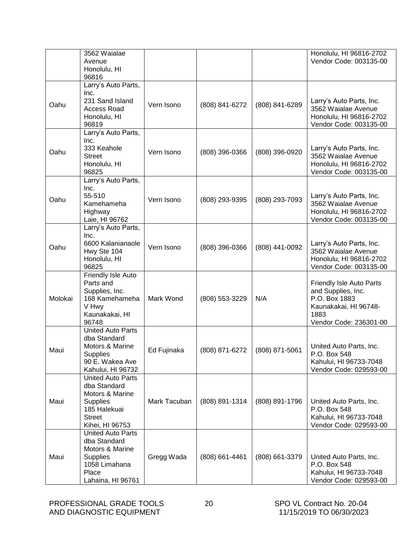|         | 3562 Waialae<br>Avenue<br>Honolulu, HI<br>96816                                                                                    |              |                  |                | Honolulu, HI 96816-2702<br>Vendor Code: 003135-00                                                                                 |
|---------|------------------------------------------------------------------------------------------------------------------------------------|--------------|------------------|----------------|-----------------------------------------------------------------------------------------------------------------------------------|
| Oahu    | Larry's Auto Parts,<br>Inc.<br>231 Sand Island<br><b>Access Road</b><br>Honolulu, HI<br>96819                                      | Vern Isono   | (808) 841-6272   | (808) 841-6289 | Larry's Auto Parts, Inc.<br>3562 Waialae Avenue<br>Honolulu, HI 96816-2702<br>Vendor Code: 003135-00                              |
| Oahu    | Larry's Auto Parts,<br>Inc.<br>333 Keahole<br><b>Street</b><br>Honolulu, HI<br>96825                                               | Vern Isono   | (808) 396-0366   | (808) 396-0920 | Larry's Auto Parts, Inc.<br>3562 Waialae Avenue<br>Honolulu, HI 96816-2702<br>Vendor Code: 003135-00                              |
| Oahu    | Larry's Auto Parts,<br>Inc.<br>55-510<br>Kamehameha<br>Highway<br>Laie, HI 96762                                                   | Vern Isono   | (808) 293-9395   | (808) 293-7093 | Larry's Auto Parts, Inc.<br>3562 Waialae Avenue<br>Honolulu, HI 96816-2702<br>Vendor Code: 003135-00                              |
| Oahu    | Larry's Auto Parts,<br>Inc.<br>6600 Kalanianaole<br>Hwy Ste 104<br>Honolulu, HI<br>96825                                           | Vern Isono   | (808) 396-0366   | (808) 441-0092 | Larry's Auto Parts, Inc.<br>3562 Waialae Avenue<br>Honolulu, HI 96816-2702<br>Vendor Code: 003135-00                              |
| Molokai | Friendly Isle Auto<br>Parts and<br>Supplies, Inc.<br>168 Kamehameha<br>V Hwy<br>Kaunakakai, HI<br>96748                            | Mark Wond    | (808) 553-3229   | N/A            | <b>Friendly Isle Auto Parts</b><br>and Supplies, Inc.<br>P.O. Box 1883<br>Kaunakakai, HI 96748-<br>1883<br>Vendor Code: 236301-00 |
| Maui    | <b>United Auto Parts</b><br>dba Standard<br>Motors & Marine<br><b>Supplies</b><br>90 E. Wakea Ave<br>Kahului, HI 96732             | Ed Fujinaka  | (808) 871-6272   | (808) 871-5061 | United Auto Parts, Inc.<br>P.O. Box 548<br>Kahului, HI 96733-7048<br>Vendor Code: 029593-00                                       |
| Maui    | <b>United Auto Parts</b><br>dba Standard<br>Motors & Marine<br><b>Supplies</b><br>185 Halekuai<br><b>Street</b><br>Kihei, HI 96753 | Mark Tacuban | (808) 891-1314   | (808) 891-1796 | United Auto Parts, Inc.<br>P.O. Box 548<br>Kahului, HI 96733-7048<br>Vendor Code: 029593-00                                       |
| Maui    | <b>United Auto Parts</b><br>dba Standard<br>Motors & Marine<br><b>Supplies</b><br>1058 Limahana<br>Place<br>Lahaina, HI 96761      | Gregg Wada   | $(808)$ 661-4461 | (808) 661-3379 | United Auto Parts, Inc.<br>P.O. Box 548<br>Kahului, HI 96733-7048<br>Vendor Code: 029593-00                                       |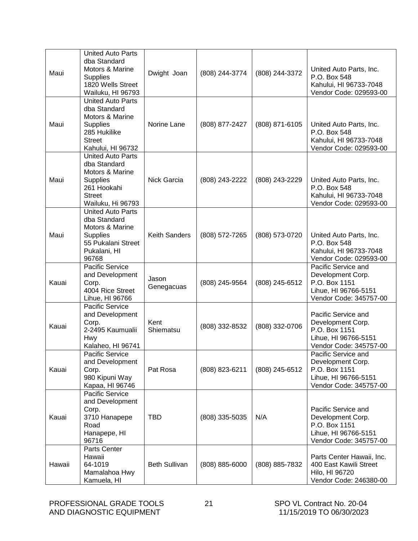| Maui   | <b>United Auto Parts</b><br>dba Standard<br>Motors & Marine<br><b>Supplies</b><br>1820 Wells Street<br>Wailuku, HI 96793             | Dwight Joan          | (808) 244-3774 | (808) 244-3372 | United Auto Parts, Inc.<br>P.O. Box 548<br>Kahului, HI 96733-7048<br>Vendor Code: 029593-00                 |
|--------|--------------------------------------------------------------------------------------------------------------------------------------|----------------------|----------------|----------------|-------------------------------------------------------------------------------------------------------------|
| Maui   | <b>United Auto Parts</b><br>dba Standard<br>Motors & Marine<br><b>Supplies</b><br>285 Hukilike<br><b>Street</b><br>Kahului, HI 96732 | Norine Lane          | (808) 877-2427 | (808) 871-6105 | United Auto Parts, Inc.<br>P.O. Box 548<br>Kahului, HI 96733-7048<br>Vendor Code: 029593-00                 |
| Maui   | <b>United Auto Parts</b><br>dba Standard<br>Motors & Marine<br><b>Supplies</b><br>261 Hookahi<br><b>Street</b><br>Wailuku, Hi 96793  | <b>Nick Garcia</b>   | (808) 243-2222 | (808) 243-2229 | United Auto Parts, Inc.<br>P.O. Box 548<br>Kahului, HI 96733-7048<br>Vendor Code: 029593-00                 |
| Maui   | <b>United Auto Parts</b><br>dba Standard<br>Motors & Marine<br><b>Supplies</b><br>55 Pukalani Street<br>Pukalani, HI<br>96768        | <b>Keith Sanders</b> | (808) 572-7265 | (808) 573-0720 | United Auto Parts, Inc.<br>P.O. Box 548<br>Kahului, HI 96733-7048<br>Vendor Code: 029593-00                 |
| Kauai  | Pacific Service<br>and Development<br>Corp.<br>4004 Rice Street<br>Lihue, HI 96766                                                   | Jason<br>Genegacuas  | (808) 245-9564 | (808) 245-6512 | Pacific Service and<br>Development Corp.<br>P.O. Box 1151<br>Lihue, HI 96766-5151<br>Vendor Code: 345757-00 |
| Kauai  | Pacific Service<br>and Development<br>Corp.<br>2-2495 Kaumualii<br>Hwy<br>Kalaheo, HI 96741                                          | Kent<br>Shiematsu    | (808) 332-8532 | (808) 332-0706 | Pacific Service and<br>Development Corp.<br>P.O. Box 1151<br>Lihue, HI 96766-5151<br>Vendor Code: 345757-00 |
| Kauai  | Pacific Service<br>and Development<br>Corp.<br>980 Kipuni Way<br>Kapaa, HI 96746                                                     | Pat Rosa             | (808) 823-6211 | (808) 245-6512 | Pacific Service and<br>Development Corp.<br>P.O. Box 1151<br>Lihue, HI 96766-5151<br>Vendor Code: 345757-00 |
| Kauai  | Pacific Service<br>and Development<br>Corp.<br>3710 Hanapepe<br>Road<br>Hanapepe, HI<br>96716                                        | <b>TBD</b>           | (808) 335-5035 | N/A            | Pacific Service and<br>Development Corp.<br>P.O. Box 1151<br>Lihue, HI 96766-5151<br>Vendor Code: 345757-00 |
| Hawaii | Parts Center<br>Hawaii<br>64-1019<br>Mamalahoa Hwy<br>Kamuela, HI                                                                    | <b>Beth Sullivan</b> | (808) 885-6000 | (808) 885-7832 | Parts Center Hawaii, Inc.<br>400 East Kawili Street<br>Hilo, HI 96720<br>Vendor Code: 246380-00             |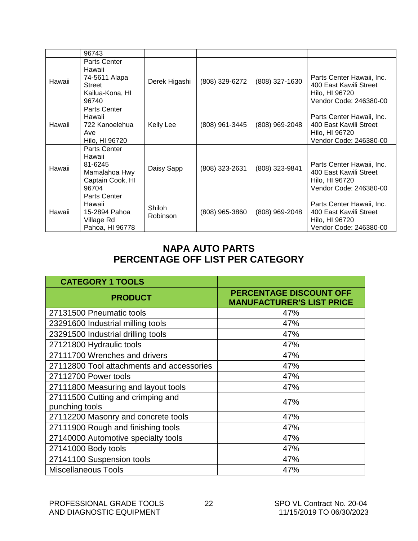|        | 96743                                                                           |                           |                |                |                                                                                                 |
|--------|---------------------------------------------------------------------------------|---------------------------|----------------|----------------|-------------------------------------------------------------------------------------------------|
| Hawaii | Parts Center<br>Hawaii<br>74-5611 Alapa<br>Street<br>Kailua-Kona, HI<br>96740   | Derek Higashi             | (808) 329-6272 | (808) 327-1630 | Parts Center Hawaii, Inc.<br>400 East Kawili Street<br>Hilo, HI 96720<br>Vendor Code: 246380-00 |
| Hawaii | Parts Center<br>Hawaii<br>722 Kanoelehua<br>Ave<br>Hilo, HI 96720               | <b>Kelly Lee</b>          | (808) 961-3445 | (808) 969-2048 | Parts Center Hawaii, Inc.<br>400 East Kawili Street<br>Hilo, HI 96720<br>Vendor Code: 246380-00 |
| Hawaii | Parts Center<br>Hawaii<br>81-6245<br>Mamalahoa Hwy<br>Captain Cook, HI<br>96704 | Daisy Sapp                | (808) 323-2631 | (808) 323-9841 | Parts Center Hawaii, Inc.<br>400 East Kawili Street<br>Hilo, HI 96720<br>Vendor Code: 246380-00 |
| Hawaii | Parts Center<br>Hawaii<br>15-2894 Pahoa<br>Village Rd<br>Pahoa, HI 96778        | Shiloh<br><b>Robinson</b> | (808) 965-3860 | (808) 969-2048 | Parts Center Hawaii, Inc.<br>400 East Kawili Street<br>Hilo, HI 96720<br>Vendor Code: 246380-00 |

#### **NAPA AUTO PARTS PERCENTAGE OFF LIST PER CATEGORY**

| <b>CATEGORY 1 TOOLS</b>                             |                                                             |
|-----------------------------------------------------|-------------------------------------------------------------|
| <b>PRODUCT</b>                                      | PERCENTAGE DISCOUNT OFF<br><b>MANUFACTURER'S LIST PRICE</b> |
| 27131500 Pneumatic tools                            | 47%                                                         |
| 23291600 Industrial milling tools                   | 47%                                                         |
| 23291500 Industrial drilling tools                  | 47%                                                         |
| 27121800 Hydraulic tools                            | 47%                                                         |
| 27111700 Wrenches and drivers                       | 47%                                                         |
| 27112800 Tool attachments and accessories           | 47%                                                         |
| 27112700 Power tools                                | 47%                                                         |
| 27111800 Measuring and layout tools                 | 47%                                                         |
| 27111500 Cutting and crimping and<br>punching tools | 47%                                                         |
| 27112200 Masonry and concrete tools                 | 47%                                                         |
| 27111900 Rough and finishing tools                  | 47%                                                         |
| 27140000 Automotive specialty tools                 | 47%                                                         |
| 27141000 Body tools                                 | 47%                                                         |
| 27141100 Suspension tools                           | 47%                                                         |
| <b>Miscellaneous Tools</b>                          | 47%                                                         |